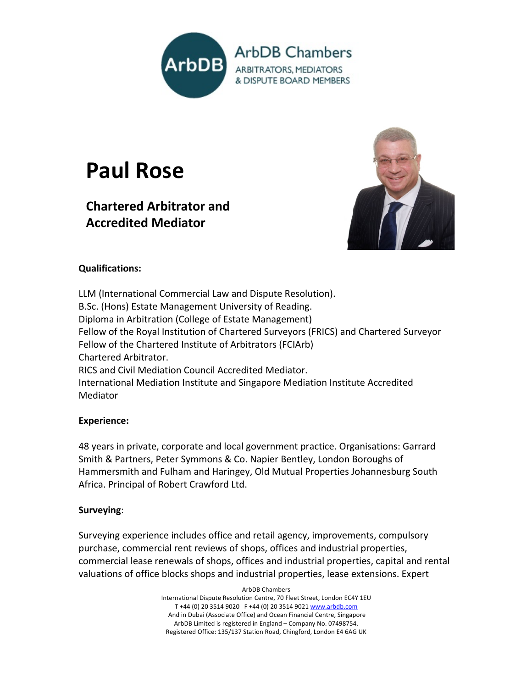

# **Paul Rose**

# **Chartered Arbitrator and Accredited Mediator**



# **Qualifications:**

LLM (International Commercial Law and Dispute Resolution). B.Sc. (Hons) Estate Management University of Reading. Diploma in Arbitration (College of Estate Management) Fellow of the Royal Institution of Chartered Surveyors (FRICS) and Chartered Surveyor Fellow of the Chartered Institute of Arbitrators (FCIArb) Chartered Arbitrator. RICS and Civil Mediation Council Accredited Mediator. International Mediation Institute and Singapore Mediation Institute Accredited Mediator

# **Experience:**

48 years in private, corporate and local government practice. Organisations: Garrard Smith & Partners, Peter Symmons & Co. Napier Bentley, London Boroughs of Hammersmith and Fulham and Haringey, Old Mutual Properties Johannesburg South Africa. Principal of Robert Crawford Ltd.

# **Surveying**:

Surveying experience includes office and retail agency, improvements, compulsory purchase, commercial rent reviews of shops, offices and industrial properties, commercial lease renewals of shops, offices and industrial properties, capital and rental valuations of office blocks shops and industrial properties, lease extensions. Expert

> ArbDB Chambers International Dispute Resolution Centre, 70 Fleet Street, London EC4Y 1EU T +44 (0) 20 3514 9020 F +44 (0) 20 3514 9021 www.arbdb.com And in Dubai (Associate Office) and Ocean Financial Centre, Singapore ArbDB Limited is registered in England – Company No. 07498754. Registered Office: 135/137 Station Road, Chingford, London E4 6AG UK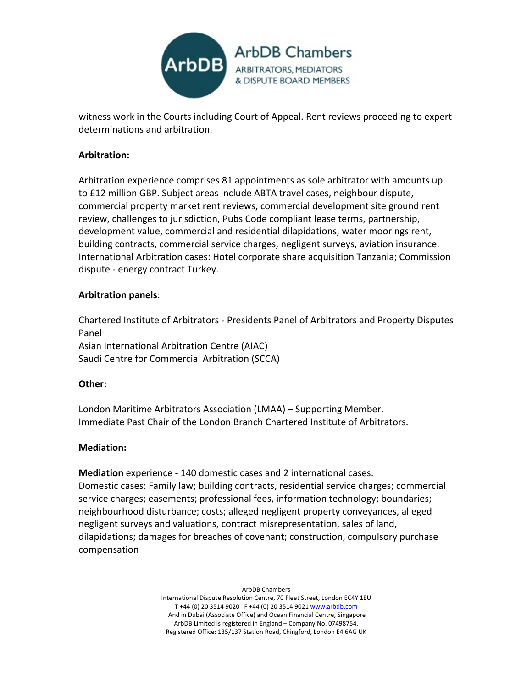

witness work in the Courts including Court of Appeal. Rent reviews proceeding to expert determinations and arbitration.

# **Arbitration:**

Arbitration experience comprises 81 appointments as sole arbitrator with amounts up to £12 million GBP. Subject areas include ABTA travel cases, neighbour dispute, commercial property market rent reviews, commercial development site ground rent review, challenges to jurisdiction, Pubs Code compliant lease terms, partnership, development value, commercial and residential dilapidations, water moorings rent, building contracts, commercial service charges, negligent surveys, aviation insurance. International Arbitration cases: Hotel corporate share acquisition Tanzania; Commission dispute - energy contract Turkey.

#### **Arbitration panels**:

Chartered Institute of Arbitrators - Presidents Panel of Arbitrators and Property Disputes Panel Asian International Arbitration Centre (AIAC) Saudi Centre for Commercial Arbitration (SCCA)

#### **Other:**

London Maritime Arbitrators Association (LMAA) – Supporting Member. Immediate Past Chair of the London Branch Chartered Institute of Arbitrators.

#### **Mediation:**

**Mediation** experience - 140 domestic cases and 2 international cases. Domestic cases: Family law; building contracts, residential service charges; commercial service charges; easements; professional fees, information technology; boundaries; neighbourhood disturbance; costs; alleged negligent property conveyances, alleged negligent surveys and valuations, contract misrepresentation, sales of land, dilapidations; damages for breaches of covenant; construction, compulsory purchase compensation

> ArbDB Chambers International Dispute Resolution Centre, 70 Fleet Street, London EC4Y 1EU T +44 (0) 20 3514 9020 F +44 (0) 20 3514 9021 www.arbdb.com And in Dubai (Associate Office) and Ocean Financial Centre, Singapore ArbDB Limited is registered in England – Company No. 07498754. Registered Office: 135/137 Station Road, Chingford, London E4 6AG UK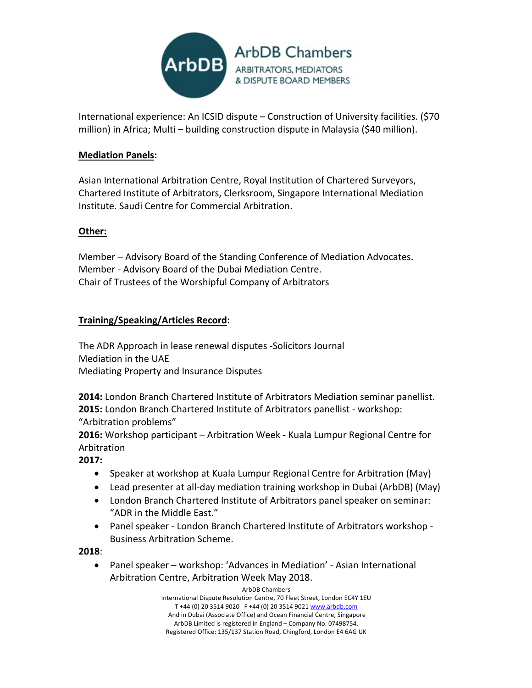

International experience: An ICSID dispute – Construction of University facilities. (\$70 million) in Africa; Multi – building construction dispute in Malaysia (\$40 million).

# **Mediation Panels:**

Asian International Arbitration Centre, Royal Institution of Chartered Surveyors, Chartered Institute of Arbitrators, Clerksroom, Singapore International Mediation Institute. Saudi Centre for Commercial Arbitration.

#### **Other:**

Member – Advisory Board of the Standing Conference of Mediation Advocates. Member - Advisory Board of the Dubai Mediation Centre. Chair of Trustees of the Worshipful Company of Arbitrators

# **Training/Speaking/Articles Record:**

The ADR Approach in lease renewal disputes -Solicitors Journal Mediation in the UAE Mediating Property and Insurance Disputes

**2014:** London Branch Chartered Institute of Arbitrators Mediation seminar panellist. **2015:** London Branch Chartered Institute of Arbitrators panellist - workshop: "Arbitration problems"

**2016:** Workshop participant – Arbitration Week - Kuala Lumpur Regional Centre for Arbitration

**2017:**

- Speaker at workshop at Kuala Lumpur Regional Centre for Arbitration (May)
- Lead presenter at all-day mediation training workshop in Dubai (ArbDB) (May)
- London Branch Chartered Institute of Arbitrators panel speaker on seminar: "ADR in the Middle East."
- Panel speaker London Branch Chartered Institute of Arbitrators workshop Business Arbitration Scheme.

**2018**:

• Panel speaker – workshop: 'Advances in Mediation' - Asian International Arbitration Centre, Arbitration Week May 2018.

> ArbDB Chambers International Dispute Resolution Centre, 70 Fleet Street, London EC4Y 1EU T +44 (0) 20 3514 9020 F +44 (0) 20 3514 9021 www.arbdb.com And in Dubai (Associate Office) and Ocean Financial Centre, Singapore ArbDB Limited is registered in England – Company No. 07498754. Registered Office: 135/137 Station Road, Chingford, London E4 6AG UK